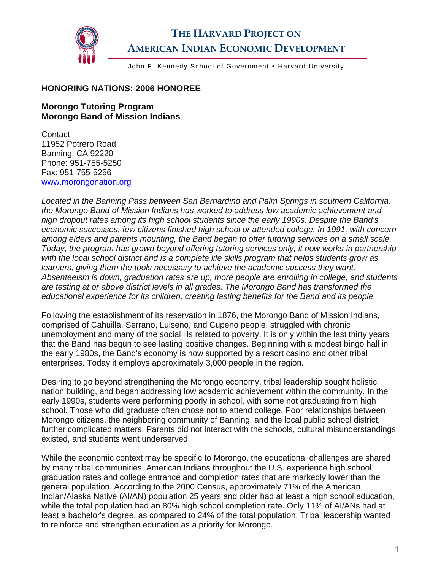

## **THE HARVARD PROJECT ON AMERICAN INDIAN ECONOMIC DEVELOPMENT**

John F. Kennedy School of Government . Harvard University

## **HONORING NATIONS: 2006 HONOREE**

## **Morongo Tutoring Program Morongo Band of Mission Indians**

Contact: 11952 Potrero Road Banning, CA 92220 Phone: 951-755-5250 Fax: 951-755-5256 [www.morongonation.org](http://www.morongonation.org/)

*Located in the Banning Pass between San Bernardino and Palm Springs in southern California, the Morongo Band of Mission Indians has worked to address low academic achievement and high dropout rates among its high school students since the early 1990s. Despite the Band's economic successes, few citizens finished high school or attended college. In 1991, with concern among elders and parents mounting, the Band began to offer tutoring services on a small scale. Today, the program has grown beyond offering tutoring services only; it now works in partnership with the local school district and is a complete life skills program that helps students grow as learners, giving them the tools necessary to achieve the academic success they want. Absenteeism is down, graduation rates are up, more people are enrolling in college, and students are testing at or above district levels in all grades. The Morongo Band has transformed the educational experience for its children, creating lasting benefits for the Band and its people.* 

Following the establishment of its reservation in 1876, the Morongo Band of Mission Indians, comprised of Cahuilla, Serrano, Luiseno, and Cupeno people, struggled with chronic unemployment and many of the social ills related to poverty. It is only within the last thirty years that the Band has begun to see lasting positive changes. Beginning with a modest bingo hall in the early 1980s, the Band's economy is now supported by a resort casino and other tribal enterprises. Today it employs approximately 3,000 people in the region.

Desiring to go beyond strengthening the Morongo economy, tribal leadership sought holistic nation building, and began addressing low academic achievement within the community. In the early 1990s, students were performing poorly in school, with some not graduating from high school. Those who did graduate often chose not to attend college. Poor relationships between Morongo citizens, the neighboring community of Banning, and the local public school district, further complicated matters. Parents did not interact with the schools, cultural misunderstandings existed, and students went underserved.

While the economic context may be specific to Morongo, the educational challenges are shared by many tribal communities. American Indians throughout the U.S. experience high school graduation rates and college entrance and completion rates that are markedly lower than the general population. According to the 2000 Census, approximately 71% of the American Indian/Alaska Native (AI/AN) population 25 years and older had at least a high school education, while the total population had an 80% high school completion rate. Only 11% of AI/ANs had at least a bachelor's degree, as compared to 24% of the total population. Tribal leadership wanted to reinforce and strengthen education as a priority for Morongo.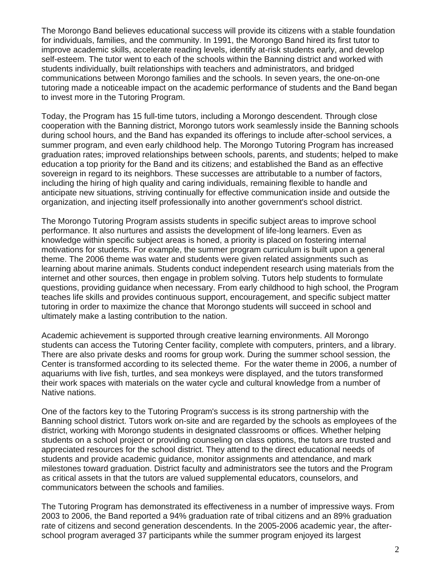The Morongo Band believes educational success will provide its citizens with a stable foundation for individuals, families, and the community. In 1991, the Morongo Band hired its first tutor to improve academic skills, accelerate reading levels, identify at-risk students early, and develop self-esteem. The tutor went to each of the schools within the Banning district and worked with students individually, built relationships with teachers and administrators, and bridged communications between Morongo families and the schools. In seven years, the one-on-one tutoring made a noticeable impact on the academic performance of students and the Band began to invest more in the Tutoring Program.

Today, the Program has 15 full-time tutors, including a Morongo descendent. Through close cooperation with the Banning district, Morongo tutors work seamlessly inside the Banning schools during school hours, and the Band has expanded its offerings to include after-school services, a summer program, and even early childhood help. The Morongo Tutoring Program has increased graduation rates; improved relationships between schools, parents, and students; helped to make education a top priority for the Band and its citizens; and established the Band as an effective sovereign in regard to its neighbors. These successes are attributable to a number of factors, including the hiring of high quality and caring individuals, remaining flexible to handle and anticipate new situations, striving continually for effective communication inside and outside the organization, and injecting itself professionally into another government's school district.

The Morongo Tutoring Program assists students in specific subject areas to improve school performance. It also nurtures and assists the development of life-long learners. Even as knowledge within specific subject areas is honed, a priority is placed on fostering internal motivations for students. For example, the summer program curriculum is built upon a general theme. The 2006 theme was water and students were given related assignments such as learning about marine animals. Students conduct independent research using materials from the internet and other sources, then engage in problem solving. Tutors help students to formulate questions, providing guidance when necessary. From early childhood to high school, the Program teaches life skills and provides continuous support, encouragement, and specific subject matter tutoring in order to maximize the chance that Morongo students will succeed in school and ultimately make a lasting contribution to the nation.

Academic achievement is supported through creative learning environments. All Morongo students can access the Tutoring Center facility, complete with computers, printers, and a library. There are also private desks and rooms for group work. During the summer school session, the Center is transformed according to its selected theme. For the water theme in 2006, a number of aquariums with live fish, turtles, and sea monkeys were displayed, and the tutors transformed their work spaces with materials on the water cycle and cultural knowledge from a number of Native nations.

One of the factors key to the Tutoring Program's success is its strong partnership with the Banning school district. Tutors work on-site and are regarded by the schools as employees of the district, working with Morongo students in designated classrooms or offices. Whether helping students on a school project or providing counseling on class options, the tutors are trusted and appreciated resources for the school district. They attend to the direct educational needs of students and provide academic guidance, monitor assignments and attendance, and mark milestones toward graduation. District faculty and administrators see the tutors and the Program as critical assets in that the tutors are valued supplemental educators, counselors, and communicators between the schools and families.

The Tutoring Program has demonstrated its effectiveness in a number of impressive ways. From 2003 to 2006, the Band reported a 94% graduation rate of tribal citizens and an 89% graduation rate of citizens and second generation descendents. In the 2005-2006 academic year, the afterschool program averaged 37 participants while the summer program enjoyed its largest